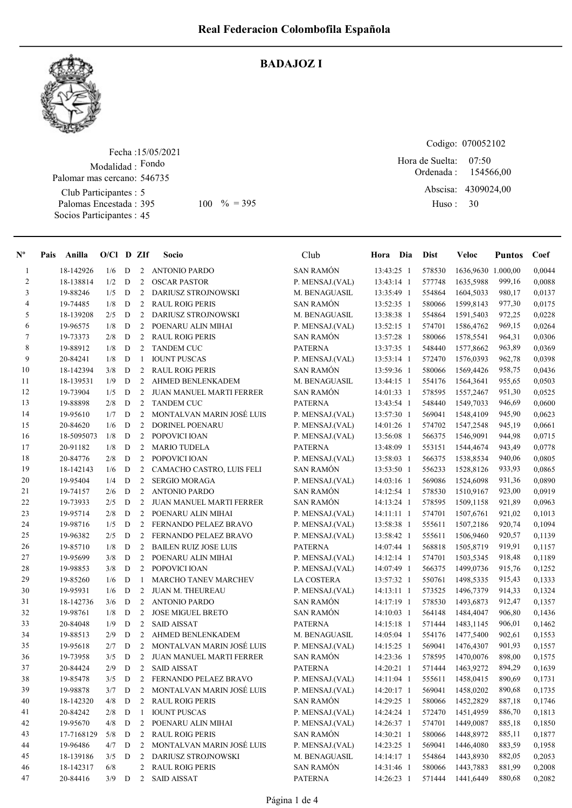

## BADAJOZ I

Fecha : 15/05/2021 Modalidad : Fondo Club Participantes : 5 Palomas Encestada : 395 Socios Participantes : 45 Palomar mas cercano: 546735

Codigo: 070052102

Ordenada : Abscisa: 4309024,00 Huso : 07:50 395 100 % = 395 Huso: 30 Hora de Suelta: 154566,00

| $N^{\circ}$    | Pais | Anilla     | $O/Cl$ D ZIf |             |                | <b>Socio</b>                    | Club             | Hora Dia   | <b>Dist</b> | Veloc              | <b>Puntos</b> | Coef   |
|----------------|------|------------|--------------|-------------|----------------|---------------------------------|------------------|------------|-------------|--------------------|---------------|--------|
| $\mathbf{1}$   |      | 18-142926  | 1/6          | D           | 2              | <b>ANTONIO PARDO</b>            | <b>SAN RAMÓN</b> | 13:43:25 1 | 578530      | 1636,9630 1.000,00 |               | 0,0044 |
| $\overline{c}$ |      | 18-138814  | 1/2          | D           | 2              | <b>OSCAR PASTOR</b>             | P. MENSAJ.(VAL)  | 13:43:14 1 | 577748      | 1635,5988          | 999,16        | 0,0088 |
| 3              |      | 19-88246   | 1/5          | D           | 2              | DARIUSZ STROJNOWSKI             | M. BENAGUASIL    | 13:35:49 1 | 554864      | 1604,5033          | 980,17        | 0,0137 |
| 4              |      | 19-74485   | 1/8          | D           | 2              | <b>RAUL ROIG PERIS</b>          | SAN RAMÓN        | 13:52:35 1 | 580066      | 1599,8143          | 977,30        | 0,0175 |
| 5              |      | 18-139208  | 2/5          | D           | 2              | DARIUSZ STROJNOWSKI             | M. BENAGUASIL    | 13:38:38 1 | 554864      | 1591,5403          | 972,25        | 0,0228 |
| 6              |      | 19-96575   | 1/8          | D           | 2              | POENARU ALIN MIHAI              | P. MENSAJ.(VAL)  | 13:52:15 1 | 574701      | 1586,4762          | 969,15        | 0,0264 |
| $\tau$         |      | 19-73373   | 2/8          | D           | 2              | <b>RAUL ROIG PERIS</b>          | SAN RAMÓN        | 13:57:28 1 | 580066      | 1578,5541          | 964,31        | 0,0306 |
| 8              |      | 19-88912   | 1/8          | D           | 2              | <b>TANDEM CUC</b>               | <b>PATERNA</b>   | 13:37:35 1 | 548440      | 1577,8662          | 963,89        | 0,0369 |
| 9              |      | 20-84241   | 1/8          | D           | -1             | <b>IOUNT PUSCAS</b>             | P. MENSAJ.(VAL)  | 13:53:14 1 | 572470      | 1576,0393          | 962,78        | 0,0398 |
| 10             |      | 18-142394  | 3/8          | D           | 2              | <b>RAUL ROIG PERIS</b>          | SAN RAMÓN        | 13:59:36 1 | 580066      | 1569,4426          | 958,75        | 0,0436 |
| 11             |      | 18-139531  | 1/9          | D           | 2              | AHMED BENLENKADEM               | M. BENAGUASIL    | 13:44:15 1 | 554176      | 1564,3641          | 955,65        | 0,0503 |
| 12             |      | 19-73904   | 1/5          | D           | 2              | JUAN MANUEL MARTI FERRER        | SAN RAMÓN        | 14:01:33 1 | 578595      | 1557,2467          | 951,30        | 0,0525 |
| 13             |      | 19-88898   | 2/8          | D           | 2              | <b>TANDEM CUC</b>               | <b>PATERNA</b>   | 13:43:54 1 | 548440      | 1549,7033          | 946,69        | 0,0600 |
| 14             |      | 19-95610   | 1/7          | D           | 2              | MONTALVAN MARIN JOSÉ LUIS       | P. MENSAJ.(VAL)  | 13:57:30 1 | 569041      | 1548,4109          | 945,90        | 0,0623 |
| 15             |      | 20-84620   | 1/6          | D           | 2              | <b>DORINEL POENARU</b>          | P. MENSAJ.(VAL)  | 14:01:26 1 | 574702      | 1547,2548          | 945,19        | 0,0661 |
| 16             |      | 18-5095073 | 1/8          | D           | 2              | POPOVICI IOAN                   | P. MENSAJ.(VAL)  | 13:56:08 1 | 566375      | 1546,9091          | 944,98        | 0,0715 |
| 17             |      | 20-91182   | 1/8          | D           | 2              | <b>MARIO TUDELA</b>             | <b>PATERNA</b>   | 13:48:09 1 | 553151      | 1544,4674          | 943,49        | 0,0778 |
| 18             |      | 20-84776   | 2/8          | D           | 2              | POPOVICI IOAN                   | P. MENSAJ.(VAL)  | 13:58:03 1 | 566375      | 1538,8534          | 940,06        | 0,0805 |
| 19             |      | 18-142143  | 1/6          | D           | 2              | CAMACHO CASTRO, LUIS FELI       | <b>SAN RAMÓN</b> | 13:53:50 1 | 556233      | 1528,8126          | 933,93        | 0,0865 |
| 20             |      | 19-95404   | 1/4          | D           | 2              | <b>SERGIO MORAGA</b>            | P. MENSAJ.(VAL)  | 14:03:16 1 | 569086      | 1524,6098          | 931,36        | 0,0890 |
| 21             |      | 19-74157   | 2/6          | D           | 2              | <b>ANTONIO PARDO</b>            | <b>SAN RAMÓN</b> | 14:12:54 1 | 578530      | 1510,9167          | 923,00        | 0,0919 |
| $22\,$         |      | 19-73933   | 2/5          | D           | 2              | JUAN MANUEL MARTI FERRER        | <b>SAN RAMÓN</b> | 14:13:24 1 | 578595      | 1509,1158          | 921,89        | 0,0963 |
| 23             |      | 19-95714   | 2/8          | D           | $\overline{2}$ | POENARU ALIN MIHAI              | P. MENSAJ.(VAL)  | 14:11:11 1 | 574701      | 1507,6761          | 921,02        | 0,1013 |
| 24             |      | 19-98716   | 1/5          | D           | 2              | FERNANDO PELAEZ BRAVO           | P. MENSAJ.(VAL)  | 13:58:38 1 | 555611      | 1507,2186          | 920,74        | 0,1094 |
| 25             |      | 19-96382   | 2/5          | D           | 2              | FERNANDO PELAEZ BRAVO           | P. MENSAJ.(VAL)  | 13:58:42 1 | 555611      | 1506,9460          | 920,57        | 0,1139 |
| 26             |      | 19-85710   | 1/8          | D           | 2              | <b>BAILEN RUIZ JOSE LUIS</b>    | <b>PATERNA</b>   | 14:07:44 1 | 568818      | 1505,8719          | 919,91        | 0,1157 |
| 27             |      | 19-95699   | 3/8          | D           | $\overline{2}$ | POENARU ALIN MIHAI              | P. MENSAJ.(VAL)  | 14:12:14 1 | 574701      | 1503,5345          | 918,48        | 0,1189 |
| 28             |      | 19-98853   | 3/8          | D           | 2              | POPOVICI IOAN                   | P. MENSAJ.(VAL)  | 14:07:49 1 | 566375      | 1499,0736          | 915,76        | 0,1252 |
| 29             |      | 19-85260   | 1/6          | D           | -1             | MARCHO TANEV MARCHEV            | LA COSTERA       | 13:57:32 1 | 550761      | 1498,5335          | 915,43        | 0,1333 |
| 30             |      | 19-95931   | 1/6          | D           | 2              | <b>JUAN M. THEUREAU</b>         | P. MENSAJ.(VAL)  | 14:13:11 1 | 573525      | 1496,7379          | 914,33        | 0,1324 |
| 31             |      | 18-142736  | 3/6          | D           | 2              | <b>ANTONIO PARDO</b>            | SAN RAMÓN        | 14:17:19 1 | 578530      | 1493,6873          | 912,47        | 0,1357 |
| 32             |      | 19-98761   | 1/8          | D           | 2              | <b>JOSE MIGUEL BRETO</b>        | SAN RAMÓN        | 14:10:03 1 | 564148      | 1484,4047          | 906,80        | 0,1436 |
| 33             |      | 20-84048   | 1/9          | D           | 2              | <b>SAID AISSAT</b>              | <b>PATERNA</b>   | 14:15:18 1 | 571444      | 1483,1145          | 906,01        | 0,1462 |
| 34             |      | 19-88513   | 2/9          | D           | 2              | AHMED BENLENKADEM               | M. BENAGUASIL    | 14:05:04 1 | 554176      | 1477,5400          | 902,61        | 0,1553 |
| 35             |      | 19-95618   | 2/7          | D           | 2              | MONTALVAN MARIN JOSÉ LUIS       | P. MENSAJ.(VAL)  | 14:15:25 1 | 569041      | 1476,4307          | 901,93        | 0,1557 |
| 36             |      | 19-73958   | 3/5          | D           | 2              | <b>JUAN MANUEL MARTI FERRER</b> | SAN RAMÓN        | 14:23:36 1 | 578595      | 1470,0076          | 898,00        | 0,1575 |
| 37             |      | 20-84424   | 2/9          | D           | 2              | <b>SAID AISSAT</b>              | <b>PATERNA</b>   | 14:20:21 1 | 571444      | 1463,9272          | 894,29        | 0,1639 |
| 38             |      | 19-85478   | 3/5          | D           |                | 2 FERNANDO PELAEZ BRAVO         | P. MENSAJ.(VAL)  | 14:11:04 1 | 555611      | 1458,0415          | 890,69        | 0,1731 |
| 39             |      | 19-98878   | 3/7          | D           | 2              | MONTALVAN MARIN JOSÉ LUIS       | P. MENSAJ.(VAL)  | 14:20:17 1 | 569041      | 1458,0202          | 890,68        | 0,1735 |
| 40             |      | 18-142320  | 4/8          | D           | 2              | <b>RAUL ROIG PERIS</b>          | SAN RAMÓN        | 14:29:25 1 | 580066      | 1452,2829          | 887,18        | 0,1746 |
| 41             |      | 20-84242   | 2/8          | D           | -1             | <b>IOUNT PUSCAS</b>             | P. MENSAJ.(VAL)  | 14:24:24 1 | 572470      | 1451,4959          | 886,70        | 0,1813 |
| 42             |      | 19-95670   | 4/8          | $\mathbf D$ | 2              | POENARU ALIN MIHAI              | P. MENSAJ.(VAL)  | 14:26:37 1 | 574701      | 1449,0087          | 885,18        | 0,1850 |
| 43             |      | 17-7168129 | 5/8          | D           | 2              | <b>RAUL ROIG PERIS</b>          | SAN RAMÓN        | 14:30:21 1 | 580066      | 1448,8972          | 885,11        | 0,1877 |
| 44             |      | 19-96486   | 4/7          | D           | 2              | MONTALVAN MARIN JOSÉ LUIS       | P. MENSAJ.(VAL)  | 14:23:25 1 | 569041      | 1446,4080          | 883,59        | 0,1958 |
| 45             |      | 18-139186  | 3/5          | D           | 2              | DARIUSZ STROJNOWSKI             | M. BENAGUASIL    | 14:14:17 1 | 554864      | 1443,8930          | 882,05        | 0,2053 |
| 46             |      | 18-142317  | 6/8          |             | 2              | <b>RAUL ROIG PERIS</b>          | SAN RAMÓN        | 14:31:46 1 | 580066      | 1443,7883          | 881,99        | 0,2008 |
| 47             |      | 20-84416   | $3/9$ D      |             | 2              | <b>SAID AISSAT</b>              | PATERNA          | 14:26:23 1 | 571444      | 1441,6449          | 880,68        | 0,2082 |
|                |      |            |              |             |                |                                 |                  |            |             |                    |               |        |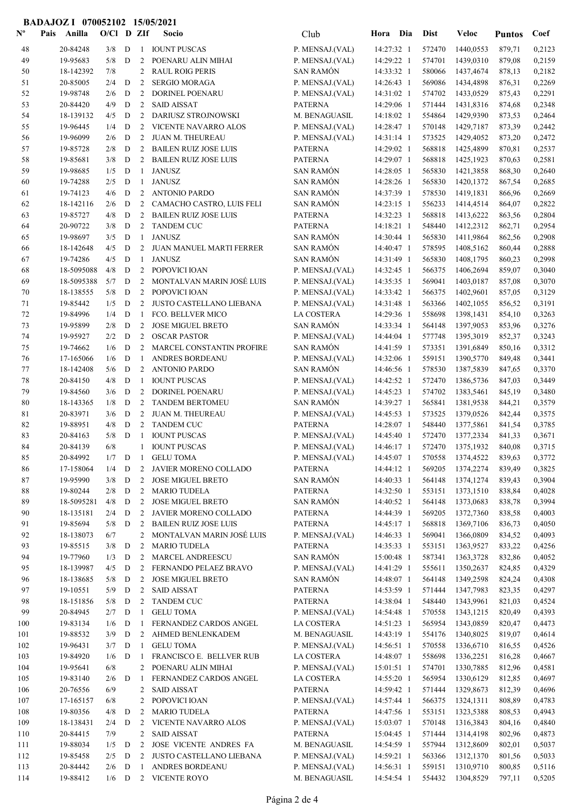## BADAJOZ I 070052102 15/05/2021

| $\mathbf{N}^{\mathbf{o}}$ | Anilla<br>Pais          | $O/Cl$ D ZIf |             |                | Socio                                             | Club                                | Hora Dia                 | <b>Dist</b>      | Veloc                  | <b>Puntos</b>    | Coef             |
|---------------------------|-------------------------|--------------|-------------|----------------|---------------------------------------------------|-------------------------------------|--------------------------|------------------|------------------------|------------------|------------------|
| 48                        | 20-84248                | 3/8          | D           | 1              | <b>IOUNT PUSCAS</b>                               | P. MENSAJ.(VAL)                     | 14:27:32 1               | 572470           | 1440,0553              | 879,71           | 0,2123           |
| 49                        | 19-95683                | 5/8          | D           | 2              | POENARU ALIN MIHAI                                | P. MENSAJ.(VAL)                     | 14:29:22 1               | 574701           | 1439,0310              | 879,08           | 0,2159           |
| 50                        | 18-142392               | 7/8          |             | 2              | <b>RAUL ROIG PERIS</b>                            | <b>SAN RAMÓN</b>                    | 14:33:32 1               | 580066           | 1437,4674              | 878,13           | 0,2182           |
| 51                        | 20-85005                | 2/4          | D           | 2              | <b>SERGIO MORAGA</b>                              | P. MENSAJ.(VAL)                     | 14:26:43 1               | 569086           | 1434,4898              | 876,31           | 0,2269           |
| 52                        | 19-98748                | 2/6          | D           | 2              | DORINEL POENARU                                   | P. MENSAJ.(VAL)                     | 14:31:02 1               | 574702           | 1433,0529              | 875,43           | 0,2291           |
| 53                        | 20-84420                | 4/9          | D           | 2              | <b>SAID AISSAT</b>                                | <b>PATERNA</b>                      | 14:29:06 1               | 571444           | 1431,8316              | 874,68           | 0,2348           |
| 54                        | 18-139132               | 4/5          | D           | 2              | DARIUSZ STROJNOWSKI                               | M. BENAGUASIL                       | $14:18:02$ 1             | 554864           | 1429,9390              | 873,53           | 0,2464           |
| 55                        | 19-96445                | 1/4          | D           | 2              | VICENTE NAVARRO ALOS                              | P. MENSAJ.(VAL)                     | 14:28:47 1               | 570148           | 1429,7187              | 873,39           | 0,2442           |
| 56                        | 19-96099                | 2/6          | D           | 2              | <b>JUAN M. THEUREAU</b>                           | P. MENSAJ.(VAL)                     | 14:31:14 1               | 573525<br>568818 | 1429,4052              | 873,20           | 0,2472           |
| 57                        | 19-85728                | 2/8          | D           |                | 2 BAILEN RUIZ JOSE LUIS                           | <b>PATERNA</b><br><b>PATERNA</b>    | 14:29:02 1               |                  | 1425,4899              | 870,81           | 0,2537           |
| 58<br>59                  | 19-85681<br>19-98685    | 3/8<br>1/5   | D<br>D      | 2<br>1         | <b>BAILEN RUIZ JOSE LUIS</b><br><b>JANUSZ</b>     | <b>SAN RAMÓN</b>                    | 14:29:07 1<br>14:28:05 1 | 568818<br>565830 | 1425,1923<br>1421,3858 | 870,63<br>868,30 | 0,2581<br>0,2640 |
| 60                        | 19-74288                | 2/5          | D           | 1              | <b>JANUSZ</b>                                     | <b>SAN RAMÓN</b>                    | 14:28:26 1               | 565830           | 1420, 1372             | 867,54           | 0,2685           |
| 61                        | 19-74123                | 4/6          | D           | 2              | <b>ANTONIO PARDO</b>                              | <b>SAN RAMÓN</b>                    | 14:37:39 1               | 578530           | 1419,1831              | 866,96           | 0,2669           |
| 62                        | 18-142116               | 2/6          | D           | 2              | CAMACHO CASTRO, LUIS FELI                         | <b>SAN RAMÓN</b>                    | 14:23:15 1               | 556233           | 1414,4514              | 864,07           | 0,2822           |
| 63                        | 19-85727                | 4/8          | D           | 2              | <b>BAILEN RUIZ JOSE LUIS</b>                      | <b>PATERNA</b>                      | 14:32:23 1               | 568818           | 1413,6222              | 863,56           | 0,2804           |
| 64                        | 20-90722                | 3/8          | D           | 2              | <b>TANDEM CUC</b>                                 | <b>PATERNA</b>                      | 14:18:21 1               | 548440           | 1412,2312              | 862,71           | 0,2954           |
| 65                        | 19-98697                | 3/5          | D           | 1              | <b>JANUSZ</b>                                     | <b>SAN RAMÓN</b>                    | 14:30:44 1               | 565830           | 1411,9864              | 862,56           | 0,2908           |
| 66                        | 18-142648               | 4/5          | D           | 2              | JUAN MANUEL MARTI FERRER                          | <b>SAN RAMÓN</b>                    | 14:40:47 1               | 578595           | 1408,5162              | 860,44           | 0,2888           |
| 67                        | 19-74286                | 4/5          | D           | -1             | <b>JANUSZ</b>                                     | <b>SAN RAMÓN</b>                    | 14:31:49 1               | 565830           | 1408,1795              | 860,23           | 0,2998           |
| 68                        | 18-5095088              | 4/8          | D           | 2              | POPOVICI IOAN                                     | P. MENSAJ.(VAL)                     | 14:32:45 1               | 566375           | 1406,2694              | 859,07           | 0,3040           |
| 69                        | 18-5095388              | 5/7          | D           | 2              | MONTALVAN MARIN JOSÉ LUIS                         | P. MENSAJ.(VAL)                     | 14:35:35 1               | 569041           | 1403,0187              | 857,08           | 0,3070           |
| 70                        | 18-138555               | 5/8          | D           | 2              | POPOVICI IOAN                                     | P. MENSAJ.(VAL)                     | 14:33:42 1               | 566375           | 1402,9601              | 857,05           | 0,3129           |
| 71                        | 19-85442                | 1/5          | D           | 2              | <b>JUSTO CASTELLANO LIEBANA</b>                   | P. MENSAJ.(VAL)                     | 14:31:48 1               | 563366           | 1402,1055              | 856,52           | 0,3191           |
| 72                        | 19-84996                | 1/4          | D           | 1              | FCO. BELLVER MICO                                 | LA COSTERA                          | 14:29:36 1               | 558698           | 1398,1431              | 854,10           | 0,3263           |
| 73<br>74                  | 19-95899                | 2/8<br>2/2   | D<br>D      | 2<br>2         | <b>JOSE MIGUEL BRETO</b>                          | <b>SAN RAMÓN</b>                    | 14:33:34 1               | 564148           | 1397,9053              | 853,96           | 0,3276           |
| 75                        | 19-95927<br>19-74662    | 1/6          | D           | 2              | <b>OSCAR PASTOR</b><br>MARCEL CONSTANTIN PROFIRE  | P. MENSAJ.(VAL)<br><b>SAN RAMÓN</b> | 14:44:04 1<br>14:41:59 1 | 577748<br>573351 | 1395,3019<br>1391,6849 | 852,37<br>850,16 | 0,3243<br>0,3312 |
| 76                        | 17-165066               | 1/6          | D           | -1             | ANDRES BORDEANU                                   | P. MENSAJ.(VAL)                     | 14:32:06 1               | 559151           | 1390,5770              | 849,48           | 0,3441           |
| 77                        | 18-142408               | 5/6          | D           | 2              | <b>ANTONIO PARDO</b>                              | <b>SAN RAMÓN</b>                    | 14:46:56 1               | 578530           | 1387,5839              | 847,65           | 0,3370           |
| 78                        | 20-84150                | 4/8          | D           | -1             | <b>IOUNT PUSCAS</b>                               | P. MENSAJ.(VAL)                     | 14:42:52 1               | 572470           | 1386,5736              | 847,03           | 0,3449           |
| 79                        | 19-84560                | 3/6          | D           | 2              | DORINEL POENARU                                   | P. MENSAJ.(VAL)                     | 14:45:23 1               | 574702           | 1383,5461              | 845,19           | 0,3480           |
| 80                        | 18-143365               | 1/8          | D           | 2              | <b>TANDEM BERTOMEU</b>                            | <b>SAN RAMÓN</b>                    | 14:39:27 1               | 565841           | 1381,9538              | 844,21           | 0,3579           |
| 81                        | 20-83971                | 3/6          | $\mathbf D$ | 2              | <b>JUAN M. THEUREAU</b>                           | P. MENSAJ.(VAL)                     | 14:45:53 1               | 573525           | 1379,0526              | 842,44           | 0,3575           |
| 82                        | 19-88951                | 4/8          | D           | 2              | <b>TANDEM CUC</b>                                 | <b>PATERNA</b>                      | 14:28:07 1               | 548440           | 1377,5861              | 841,54           | 0,3785           |
| 83                        | 20-84163                | 5/8          | D           | $\mathbf{1}$   | <b>IOUNT PUSCAS</b>                               | P. MENSAJ.(VAL)                     | 14:45:40 1               | 572470           | 1377,2334              | 841,33           | 0,3671           |
| 84                        | 20-84139                | 6/8          |             | 1              | <b>IOUNT PUSCAS</b>                               | P. MENSAJ.(VAL)                     | 14:46:17 1               | 572470           | 1375,1932              | 840,08           | 0,3715           |
| 85                        | 20-84992                | 1/7          | D           | $\mathbf{I}$   | <b>GELU TOMA</b>                                  | P. MENSAJ.(VAL)                     | 14:45:07 1               | 570558           | 1374,4522              | 839,63           | 0,3772           |
| 86                        | 17-158064               | 1/4          | D           | 2              | JAVIER MORENO COLLADO                             | <b>PATERNA</b>                      | 14:44:12 1               | 569205           | 1374,2274              | 839,49           | 0,3825           |
| 87                        | 19-95990                | 3/8          | D           | 2              | <b>JOSE MIGUEL BRETO</b>                          | <b>SAN RAMÓN</b>                    | 14:40:33 1               | 564148           | 1374,1274              | 839,43           | 0,3904           |
| 88                        | 19-80244                | 2/8          | D           | $\overline{2}$ | MARIO TUDELA                                      | <b>PATERNA</b>                      | 14:32:50 1               | 553151           | 1373,1510              | 838,84           | 0,4028           |
| 89<br>90                  | 18-5095281<br>18-135181 | 4/8<br>2/4   | D<br>D      | 2<br>2         | <b>JOSE MIGUEL BRETO</b><br>JAVIER MORENO COLLADO | <b>SAN RAMÓN</b><br><b>PATERNA</b>  | 14:40:52 1<br>14:44:39 1 | 564148<br>569205 | 1373,0683<br>1372,7360 | 838,78<br>838,58 | 0,3994<br>0,4003 |
| 91                        | 19-85694                | 5/8          | $\mathbf D$ | 2              | <b>BAILEN RUIZ JOSE LUIS</b>                      | <b>PATERNA</b>                      | 14:45:17 1               | 568818           | 1369,7106              | 836,73           | 0,4050           |
| 92                        | 18-138073               | 6/7          |             | 2              | MONTALVAN MARIN JOSÉ LUIS                         | P. MENSAJ.(VAL)                     | 14:46:33 1               | 569041           | 1366,0809              | 834,52           | 0,4093           |
| 93                        | 19-85515                | 3/8          | ${\bf D}$   | 2              | <b>MARIO TUDELA</b>                               | <b>PATERNA</b>                      | 14:35:33 1               | 553151           | 1363,9527              | 833,22           | 0,4256           |
| 94                        | 19-77960                | 1/3          | D           |                | 2 MARCEL ANDREESCU                                | <b>SAN RAMÓN</b>                    | 15:00:48 1               | 587341           | 1363,3728              | 832,86           | 0,4052           |
| 95                        | 18-139987               | $4/5$ D      |             | 2              | FERNANDO PELAEZ BRAVO                             | P. MENSAJ.(VAL)                     | 14:41:29 1               | 555611           | 1350,2637              | 824,85           | 0,4329           |
| 96                        | 18-138685               | 5/8          | D           | 2              | <b>JOSE MIGUEL BRETO</b>                          | <b>SAN RAMÓN</b>                    | 14:48:07 1               | 564148           | 1349,2598              | 824,24           | 0,4308           |
| 97                        | 19-10551                | 5/9          | D           | 2              | SAID AISSAT                                       | <b>PATERNA</b>                      | 14:53:59 1               | 571444           | 1347,7983              | 823,35           | 0,4297           |
| 98                        | 18-151856               | 5/8          | D           | 2              | <b>TANDEM CUC</b>                                 | <b>PATERNA</b>                      | 14:38:04 1               | 548440           | 1343,9961              | 821,03           | 0,4524           |
| 99                        | 20-84945                | 2/7          | D           | 1              | <b>GELU TOMA</b>                                  | P. MENSAJ.(VAL)                     | 14:54:48 1               | 570558           | 1343,1215              | 820,49           | 0,4393           |
| 100                       | 19-83134                | 1/6          | D           | 1              | FERNANDEZ CARDOS ANGEL                            | LA COSTERA                          | $14:51:23$ 1             | 565954           | 1343,0859              | 820,47           | 0,4473           |
| 101                       | 19-88532                | 3/9          | D           | 2              | AHMED BENLENKADEM                                 | M. BENAGUASIL                       | 14:43:19 1               | 554176           | 1340,8025              | 819,07           | 0,4614           |
| 102                       | 19-96431                | 3/7          | D           | 1              | <b>GELU TOMA</b>                                  | P. MENSAJ.(VAL)                     | 14:56:51 1               | 570558           | 1336,6710              | 816,55           | 0,4526           |
| 103                       | 19-84920                | 1/6          | D           | -1             | FRANCISCO E. BELLVER RUB                          | LA COSTERA                          | 14:48:07 1               | 558698           | 1336,2251              | 816,28           | 0,4667           |
| 104<br>105                | 19-95641<br>19-83140    | 6/8<br>2/6   | $\mathbf D$ | 2<br>-1        | POENARU ALIN MIHAI<br>FERNANDEZ CARDOS ANGEL      | P. MENSAJ.(VAL)<br>LA COSTERA       | 15:01:51 1<br>14:55:20 1 | 574701<br>565954 | 1330,7885<br>1330,6129 | 812,96<br>812,85 | 0,4581<br>0,4697 |
| 106                       | 20-76556                | 6/9          |             | $\mathbf{2}$   | <b>SAID AISSAT</b>                                | <b>PATERNA</b>                      | 14:59:42 1               | 571444           | 1329,8673              | 812,39           | 0,4696           |
| 107                       | 17-165157               | 6/8          |             | 2              | POPOVICI IOAN                                     | P. MENSAJ.(VAL)                     | 14:57:44 1               | 566375           | 1324,1311              | 808,89           | 0,4783           |
| 108                       | 19-80356                | 4/8          | D           | 2              | <b>MARIO TUDELA</b>                               | <b>PATERNA</b>                      | 14:47:56 1               | 553151           | 1323,5388              | 808,53           | 0,4943           |
| 109                       | 18-138431               | 2/4          | D           | 2              | VICENTE NAVARRO ALOS                              | P. MENSAJ.(VAL)                     | 15:03:07 1               | 570148           | 1316,3843              | 804,16           | 0,4840           |
| 110                       | 20-84415                | 7/9          |             | $\overline{c}$ | <b>SAID AISSAT</b>                                | <b>PATERNA</b>                      | 15:04:45 1               | 571444           | 1314,4198              | 802,96           | 0,4873           |
| 111                       | 19-88034                | 1/5          | D           | 2              | JOSE VICENTE ANDRES FA                            | M. BENAGUASIL                       | 14:54:59 1               | 557944           | 1312,8609              | 802,01           | 0,5037           |
| 112                       | 19-85458                | 2/5          | D           | 2              | JUSTO CASTELLANO LIEBANA                          | P. MENSAJ.(VAL)                     | 14:59:21 1               | 563366           | 1312,1370              | 801,56           | 0,5033           |
| 113                       | 20-84442                | 2/6          | D           | 1              | ANDRES BORDEANU                                   | P. MENSAJ.(VAL)                     | 14:56:31 1               | 559151           | 1310,9710              | 800,85           | 0,5116           |
| 114                       | 19-88412                | $1/6$ D      |             |                | 2 VICENTE ROYO                                    | M. BENAGUASIL                       | 14:54:54 1               | 554432           | 1304,8529              | 797,11           | 0,5205           |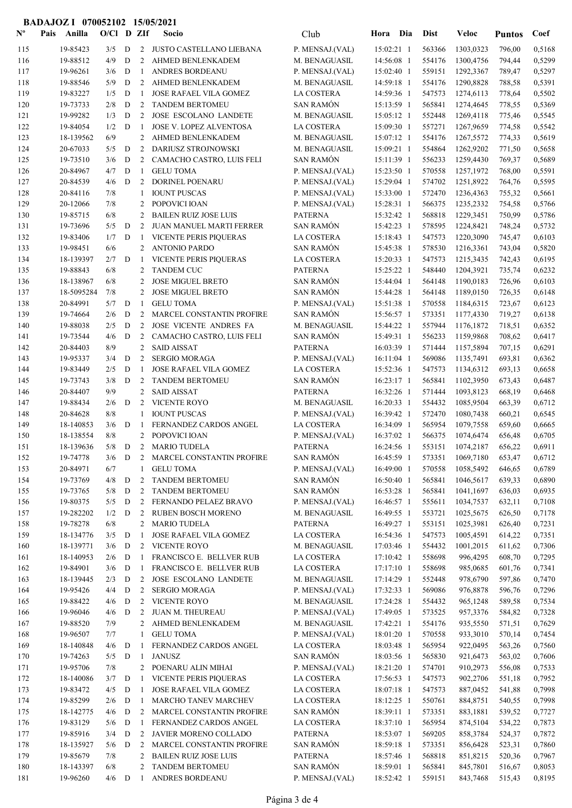## BADAJOZ I 070052102 15/05/2021

| $\mathbf{N}^{\mathbf{o}}$ | Pais | Anilla                 | $O/CI$ D ZIf |             |                | Socio                                               | Club                               | Hora Dia                 | <b>Dist</b>      | Veloc                              | <b>Puntos</b>    | Coef             |
|---------------------------|------|------------------------|--------------|-------------|----------------|-----------------------------------------------------|------------------------------------|--------------------------|------------------|------------------------------------|------------------|------------------|
| 115                       |      | 19-85423               | 3/5          | D           |                | 2 JUSTO CASTELLANO LIEBANA                          | P. MENSAJ.(VAL)                    | 15:02:21 1               | 563366           | 1303,0323                          | 796,00           | 0,5168           |
| 116                       |      | 19-88512               | 4/9          | D           | 2              | AHMED BENLENKADEM                                   | M. BENAGUASIL                      | 14:56:08 1               | 554176           | 1300,4756                          | 794,44           | 0,5299           |
| 117                       |      | 19-96261               | 3/6          | D           | -1             | ANDRES BORDEANU                                     | P. MENSAJ.(VAL)                    | 15:02:40 1               | 559151           | 1292,3367                          | 789,47           | 0,5297           |
| 118                       |      | 19-88546               | 5/9          | D           | 2              | AHMED BENLENKADEM                                   | M. BENAGUASIL                      | 14:59:18 1               | 554176           | 1290,8828                          | 788,58           | 0,5391           |
| 119                       |      | 19-83227               | 1/5          | D           | -1             | JOSE RAFAEL VILA GOMEZ                              | LA COSTERA                         | 14:59:36 1               | 547573           | 1274,6113                          | 778,64           | 0,5502           |
| 120                       |      | 19-73733               | 2/8          | D           | $\overline{2}$ | <b>TANDEM BERTOMEU</b>                              | <b>SAN RAMÓN</b>                   | 15:13:59 1               | 565841           | 1274,4645                          | 778,55           | 0,5369           |
| 121                       |      | 19-99282               | 1/3          | D           | 2              | <b>JOSE ESCOLANO LANDETE</b>                        | M. BENAGUASIL                      | $15:05:12$ 1             | 552448           | 1269,4118                          | 775,46           | 0,5545           |
| 122                       |      | 19-84054               | 1/2          | D           | -1             | JOSE V. LOPEZ ALVENTOSA                             | LA COSTERA                         | 15:09:30 1               | 557271           | 1267,9659                          | 774,58           | 0,5542           |
| 123                       |      | 18-139562              | 6/9          |             | 2              | AHMED BENLENKADEM                                   | M. BENAGUASIL                      | 15:07:12 1               | 554176           | 1267,5572                          | 774,33           | 0,5619           |
| 124                       |      | 20-67033               | 5/5          | D           | 2              | DARIUSZ STROJNOWSKI                                 | M. BENAGUASIL                      | 15:09:21 1               | 554864           | 1262,9202                          | 771,50           | 0,5658           |
| 125                       |      | 19-73510               | 3/6          | D           | 2              | CAMACHO CASTRO, LUIS FELI                           | <b>SAN RAMÓN</b>                   | 15:11:39 1               | 556233           | 1259,4430                          | 769,37           | 0,5689           |
| 126                       |      | 20-84967               | 4/7          | D           | -1             | <b>GELU TOMA</b>                                    | P. MENSAJ.(VAL)                    | 15:23:50 1               | 570558           | 1257,1972                          | 768,00           | 0,5591           |
| 127<br>128                |      | 20-84539<br>20-84116   | 4/6<br>7/8   | D           | 2<br>1         | DORINEL POENARU<br><b>IOUNT PUSCAS</b>              | P. MENSAJ.(VAL)<br>P. MENSAJ.(VAL) | 15:29:04 1<br>15:33:00 1 | 574702<br>572470 | 1251,8922<br>1236,4363             | 764,76<br>755,32 | 0,5595<br>0,5661 |
| 129                       |      | 20-12066               | 7/8          |             | 2              | POPOVICI IOAN                                       | P. MENSAJ.(VAL)                    | 15:28:31 1               | 566375           | 1235,2332                          | 754,58           | 0,5766           |
| 130                       |      | 19-85715               | 6/8          |             | 2              | <b>BAILEN RUIZ JOSE LUIS</b>                        | <b>PATERNA</b>                     | 15:32:42 1               | 568818           | 1229,3451                          | 750,99           | 0,5786           |
| 131                       |      | 19-73696               | 5/5          | D           | 2              | JUAN MANUEL MARTI FERRER                            | <b>SAN RAMÓN</b>                   | 15:42:23 1               | 578595           | 1224,8421                          | 748,24           | 0,5732           |
| 132                       |      | 19-83406               | 1/7          | D           | -1             | VICENTE PERIS PIQUERAS                              | LA COSTERA                         | 15:18:43 1               | 547573           | 1220,3090                          | 745,47           | 0,6103           |
| 133                       |      | 19-98451               | 6/6          |             | $\overline{2}$ | <b>ANTONIO PARDO</b>                                | <b>SAN RAMÓN</b>                   | 15:45:38 1               | 578530           | 1216,3361                          | 743,04           | 0,5820           |
| 134                       |      | 18-139397              | 2/7          | D           | -1             | <b>VICENTE PERIS PIQUERAS</b>                       | LA COSTERA                         | 15:20:33 1               | 547573           | 1215,3435                          | 742,43           | 0,6195           |
| 135                       |      | 19-88843               | 6/8          |             | 2              | <b>TANDEM CUC</b>                                   | <b>PATERNA</b>                     | 15:25:22 1               | 548440           | 1204,3921                          | 735,74           | 0,6232           |
| 136                       |      | 18-138967              | 6/8          |             | 2              | <b>JOSE MIGUEL BRETO</b>                            | <b>SAN RAMÓN</b>                   | 15:44:04 1               | 564148           | 1190,0183                          | 726,96           | 0,6103           |
| 137                       |      | 18-5095284             | 7/8          |             | 2              | <b>JOSE MIGUEL BRETO</b>                            | <b>SAN RAMÓN</b>                   | 15:44:28 1               | 564148           | 1189,0150                          | 726,35           | 0,6148           |
| 138                       |      | 20-84991               | 5/7          | D           | -1             | <b>GELU TOMA</b>                                    | P. MENSAJ.(VAL)                    | 15:51:38 1               | 570558           | 1184,6315                          | 723,67           | 0,6123           |
| 139                       |      | 19-74664               | 2/6          | D           | 2              | MARCEL CONSTANTIN PROFIRE                           | <b>SAN RAMÓN</b>                   | 15:56:57 1               | 573351           | 1177,4330                          | 719,27           | 0,6138           |
| 140                       |      | 19-88038               | 2/5          | D           | 2              | JOSE VICENTE ANDRES FA                              | M. BENAGUASIL                      | 15:44:22 1               | 557944           | 1176,1872                          | 718,51           | 0,6352           |
| 141                       |      | 19-73544               | 4/6          | D           | $\overline{2}$ | CAMACHO CASTRO, LUIS FELI                           | <b>SAN RAMÓN</b>                   | 15:49:31 1               | 556233           | 1159,9868                          | 708,62           | 0,6417           |
| 142                       |      | 20-84403               | 8/9          |             | $\mathfrak{2}$ | <b>SAID AISSAT</b>                                  | <b>PATERNA</b>                     | 16:03:39 1               | 571444           | 1157,5894                          | 707,15           | 0,6291           |
| 143                       |      | 19-95337               | 3/4          | D           | 2              | <b>SERGIO MORAGA</b>                                | P. MENSAJ.(VAL)                    | 16:11:04 1               | 569086           | 1135,7491                          | 693,81           | 0,6362           |
| 144                       |      | 19-83449               | 2/5          | D           | -1             | JOSE RAFAEL VILA GOMEZ                              | <b>LA COSTERA</b>                  | 15:52:36 1               | 547573           | 1134,6312                          | 693,13           | 0,6658           |
| 145<br>146                |      | 19-73743<br>20-84407   | 3/8<br>9/9   | D           | 2<br>2         | <b>TANDEM BERTOMEU</b><br><b>SAID AISSAT</b>        | <b>SAN RAMÓN</b><br><b>PATERNA</b> | 16:23:17 1<br>16:32:26 1 | 565841<br>571444 | 1102,3950<br>1093,8123             | 673,43<br>668,19 | 0,6487<br>0,6468 |
| 147                       |      | 19-88434               | 2/6          | D           | 2              | <b>VICENTE ROYO</b>                                 | M. BENAGUASIL                      | 16:20:33 1               | 554432           | 1085,9504                          | 663,39           | 0,6712           |
| 148                       |      | 20-84628               | 8/8          |             | 1              | <b>IOUNT PUSCAS</b>                                 | P. MENSAJ.(VAL)                    | 16:39:42 1               | 572470           | 1080,7438                          | 660,21           | 0,6545           |
| 149                       |      | 18-140853              | 3/6          | D           | -1             | FERNANDEZ CARDOS ANGEL                              | LA COSTERA                         | 16:34:09 1               | 565954           | 1079,7558                          | 659,60           | 0,6665           |
| 150                       |      | 18-138554              | 8/8          |             | 2              | POPOVICI IOAN                                       | P. MENSAJ.(VAL)                    | 16:37:02 1               | 566375           | 1074,6474                          | 656,48           | 0,6705           |
| 151                       |      | 18-139636              | 5/8          | D           | $\overline{2}$ | MARIO TUDELA                                        | PATERNA                            | 16:24:56 1               | 553151           | 1074,2187                          | 656,22           | 0,6911           |
| 152                       |      | 19-74778               |              |             |                |                                                     | SAN RAMÓN                          |                          |                  | 16:45:59 1 573351 1069,7180 653,47 |                  | 0,6712           |
| 153                       |      | 20-84971               | 6/7          |             | 1              | <b>GELU TOMA</b>                                    | P. MENSAJ.(VAL)                    | 16:49:00 1               | 570558           | 1058,5492                          | 646,65           | 0,6789           |
| 154                       |      | 19-73769               | 4/8          | D           | $\overline{2}$ | <b>TANDEM BERTOMEU</b>                              | <b>SAN RAMÓN</b>                   | $16:50:40$ 1             | 565841           | 1046,5617                          | 639,33           | 0,6890           |
| 155                       |      | 19-73765               | 5/8          | $\mathbf D$ | 2              | <b>TANDEM BERTOMEU</b>                              | <b>SAN RAMÓN</b>                   | 16:53:28 1               | 565841           | 1041,1697                          | 636,03           | 0,6935           |
| 156                       |      | 19-80375               | 5/5          | D           | 2              | FERNANDO PELAEZ BRAVO                               | P. MENSAJ.(VAL)                    | 16:46:57 1               | 555611           | 1034,7537                          | 632,11           | 0,7108           |
| 157                       |      | 19-282202              | 1/2          | D           | $\overline{2}$ | <b>RUBEN BOSCH MORENO</b>                           | M. BENAGUASIL                      | 16:49:55 1               | 553721           | 1025,5675                          | 626,50           | 0,7178           |
| 158                       |      | 19-78278               | 6/8          |             | $\mathbf{2}$   | <b>MARIO TUDELA</b>                                 | <b>PATERNA</b>                     | 16:49:27 1               | 553151           | 1025,3981                          | 626,40           | 0,7231           |
| 159                       |      | 18-134776              | 3/5          | D           | -1             | JOSE RAFAEL VILA GOMEZ                              | LA COSTERA                         | 16:54:36 1               | 547573           | 1005,4591                          | 614,22           | 0,7351           |
| 160<br>161                |      | 18-139771<br>18-140953 | 3/6<br>2/6   | D<br>D      | 2<br>-1        | <b>VICENTE ROYO</b><br>FRANCISCO E. BELLVER RUB     | M. BENAGUASIL<br>LA COSTERA        | 17:03:46 1<br>17:10:42 1 | 554432<br>558698 | 1001,2015<br>996,4295              | 611,62<br>608,70 | 0,7306<br>0,7295 |
| 162                       |      | 19-84901               | 3/6          | D           | -1             | FRANCISCO E. BELLVER RUB                            | LA COSTERA                         | 17:17:10 1               | 558698           | 985,0685                           | 601,76           | 0,7341           |
| 163                       |      | 18-139445              | 2/3          | D           | 2              | <b>JOSE ESCOLANO LANDETE</b>                        | M. BENAGUASIL                      | 17:14:29 1               | 552448           | 978,6790                           | 597,86           | 0,7470           |
| 164                       |      | 19-95426               | 4/4          | D           | 2              | <b>SERGIO MORAGA</b>                                | P. MENSAJ.(VAL)                    | 17:32:33 1               | 569086           | 976,8878                           | 596,76           | 0,7296           |
| 165                       |      | 19-88422               | 4/6          | D           | 2              | <b>VICENTE ROYO</b>                                 | M. BENAGUASIL                      | 17:24:28 1               | 554432           | 965,1248                           | 589,58           | 0,7534           |
| 166                       |      | 19-96046               | 4/6          | D           | 2              | JUAN M. THEUREAU                                    | P. MENSAJ.(VAL)                    | 17:49:05 1               | 573525           | 957,3376                           | 584,82           | 0,7328           |
| 167                       |      | 19-88520               | 7/9          |             | $\overline{2}$ | AHMED BENLENKADEM                                   | M. BENAGUASIL                      | 17:42:21 1               | 554176           | 935,5550                           | 571,51           | 0,7629           |
| 168                       |      | 19-96507               | 7/7          |             | 1              | <b>GELU TOMA</b>                                    | P. MENSAJ.(VAL)                    | 18:01:20 1               | 570558           | 933,3010                           | 570,14           | 0,7454           |
| 169                       |      | 18-140848              | 4/6          | D           | -1             | FERNANDEZ CARDOS ANGEL                              | LA COSTERA                         | 18:03:48 1               | 565954           | 922,0495                           | 563,26           | 0,7560           |
| 170                       |      | 19-74263               | 5/5          | D           | -1             | <b>JANUSZ</b>                                       | <b>SAN RAMÓN</b>                   | 18:03:56 1               | 565830           | 921,6473                           | 563,02           | 0,7606           |
| 171                       |      | 19-95706               | 7/8          |             |                | 2 POENARU ALIN MIHAI                                | P. MENSAJ.(VAL)                    | 18:21:20 1               | 574701           | 910,2973                           | 556,08           | 0,7533           |
| 172                       |      | 18-140086              | 3/7          | D           | -1             | VICENTE PERIS PIQUERAS                              | LA COSTERA                         | 17:56:53 1               | 547573           | 902,2706                           | 551,18           | 0,7952           |
| 173                       |      | 19-83472               | 4/5          | D           | -1             | JOSE RAFAEL VILA GOMEZ                              | LA COSTERA                         | 18:07:18 1               | 547573           | 887,0452                           | 541,88           | 0,7998           |
| 174                       |      | 19-85299               | 2/6          | D           | -1             | MARCHO TANEV MARCHEV                                | LA COSTERA                         | 18:12:25 1               | 550761           | 884,8751                           | 540,55           | 0,7998           |
| 175<br>176                |      | 18-142775<br>19-83129  | 4/6<br>5/6   | D<br>D      | 2<br>-1        | MARCEL CONSTANTIN PROFIRE<br>FERNANDEZ CARDOS ANGEL | <b>SAN RAMÓN</b><br>LA COSTERA     | 18:39:11 1<br>18:37:10 1 | 573351<br>565954 | 883,1881<br>874,5104               | 539,52<br>534,22 | 0,7727<br>0,7873 |
| 177                       |      | 19-85916               | 3/4          | D           | 2              | JAVIER MORENO COLLADO                               | <b>PATERNA</b>                     | 18:53:07 1               | 569205           | 858,3784                           | 524,37           | 0,7872           |
| 178                       |      | 18-135927              | 5/6          | D           | 2              | MARCEL CONSTANTIN PROFIRE                           | <b>SAN RAMÓN</b>                   | 18:59:18 1               | 573351           | 856,6428                           | 523,31           | 0,7860           |
| 179                       |      | 19-85679               | 7/8          |             | 2              | <b>BAILEN RUIZ JOSE LUIS</b>                        | <b>PATERNA</b>                     | 18:57:46 1               | 568818           | 851,8215                           | 520,36           | 0,7967           |
| 180                       |      | 18-143397              | 6/8          |             | 2              | TANDEM BERTOMEU                                     | <b>SAN RAMÓN</b>                   | 18:59:01 1               | 565841           | 845,7801                           | 516,67           | 0,8053           |
| 181                       |      | 19-96260               | $4/6$ D      |             | -1             | ANDRES BORDEANU                                     | P. MENSAJ.(VAL)                    | 18:52:42 1               | 559151           | 843,7468                           | 515,43           | 0,8195           |